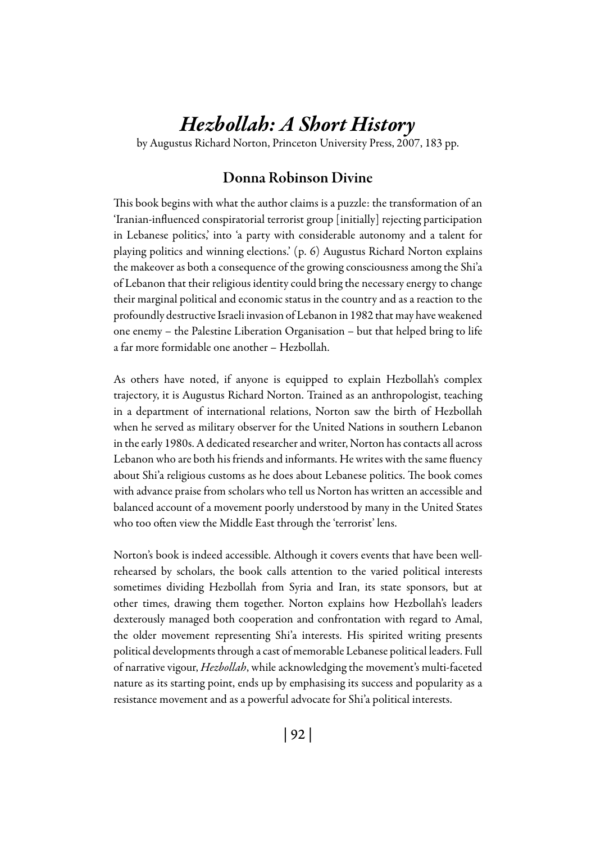# *Hezbollah: A Short History*

by Augustus Richard Norton, Princeton University Press, 2007, 183 pp.

### Donna Robinson Divine

This book begins with what the author claims is a puzzle: the transformation of an 'Iranian-influenced conspiratorial terrorist group [initially] rejecting participation in Lebanese politics,' into 'a party with considerable autonomy and a talent for playing politics and winning elections.' (p. 6) Augustus Richard Norton explains the makeover as both a consequence of the growing consciousness among the Shi'a of Lebanon that their religious identity could bring the necessary energy to change their marginal political and economic status in the country and as a reaction to the profoundly destructive Israeli invasion of Lebanon in 1982 that may have weakened one enemy – the Palestine Liberation Organisation – but that helped bring to life a far more formidable one another – Hezbollah.

As others have noted, if anyone is equipped to explain Hezbollah's complex trajectory, it is Augustus Richard Norton. Trained as an anthropologist, teaching in a department of international relations, Norton saw the birth of Hezbollah when he served as military observer for the United Nations in southern Lebanon in the early 1980s. A dedicated researcher and writer, Norton has contacts all across Lebanon who are both his friends and informants. He writes with the same fluency about Shi'a religious customs as he does about Lebanese politics. The book comes with advance praise from scholars who tell us Norton has written an accessible and balanced account of a movement poorly understood by many in the United States who too often view the Middle East through the 'terrorist' lens.

Norton's book is indeed accessible. Although it covers events that have been wellrehearsed by scholars, the book calls attention to the varied political interests sometimes dividing Hezbollah from Syria and Iran, its state sponsors, but at other times, drawing them together. Norton explains how Hezbollah's leaders dexterously managed both cooperation and confrontation with regard to Amal, the older movement representing Shi'a interests. His spirited writing presents political developments through a cast of memorable Lebanese political leaders. Full of narrative vigour, *Hezbollah*, while acknowledging the movement's multi-faceted nature as its starting point, ends up by emphasising its success and popularity as a resistance movement and as a powerful advocate for Shi'a political interests.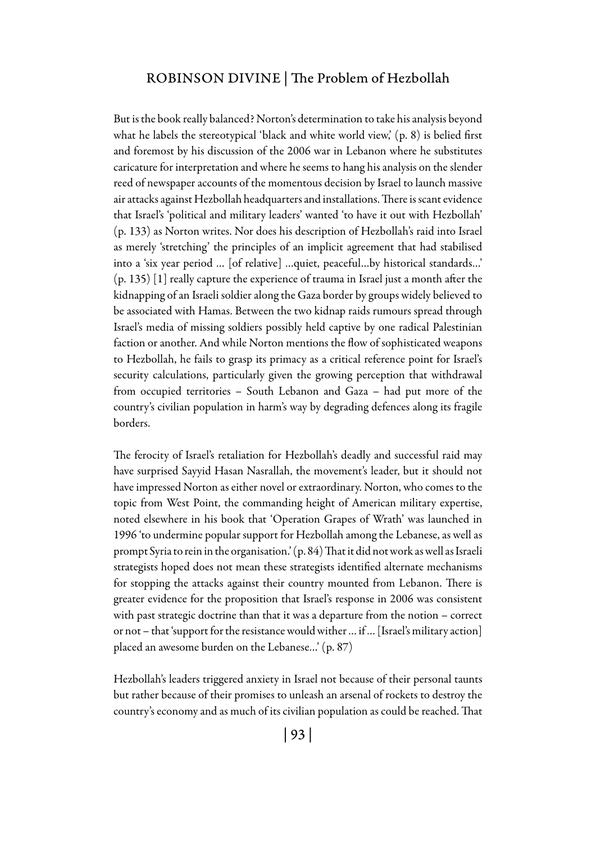#### Robinson Divine | The Problem of Hezbollah

But is the book really balanced? Norton's determination to take his analysis beyond what he labels the stereotypical 'black and white world view,' (p. 8) is belied first and foremost by his discussion of the 2006 war in Lebanon where he substitutes caricature for interpretation and where he seems to hang his analysis on the slender reed of newspaper accounts of the momentous decision by Israel to launch massive air attacks against Hezbollah headquarters and installations. There is scant evidence that Israel's 'political and military leaders' wanted 'to have it out with Hezbollah' (p. 133) as Norton writes. Nor does his description of Hezbollah's raid into Israel as merely 'stretching' the principles of an implicit agreement that had stabilised into a 'six year period … [of relative] …quiet, peaceful…by historical standards…' (p. 135) [1] really capture the experience of trauma in Israel just a month after the kidnapping of an Israeli soldier along the Gaza border by groups widely believed to be associated with Hamas. Between the two kidnap raids rumours spread through Israel's media of missing soldiers possibly held captive by one radical Palestinian faction or another. And while Norton mentions the flow of sophisticated weapons to Hezbollah, he fails to grasp its primacy as a critical reference point for Israel's security calculations, particularly given the growing perception that withdrawal from occupied territories – South Lebanon and Gaza – had put more of the country's civilian population in harm's way by degrading defences along its fragile borders.

The ferocity of Israel's retaliation for Hezbollah's deadly and successful raid may have surprised Sayyid Hasan Nasrallah, the movement's leader, but it should not have impressed Norton as either novel or extraordinary. Norton, who comes to the topic from West Point, the commanding height of American military expertise, noted elsewhere in his book that 'Operation Grapes of Wrath' was launched in 1996 'to undermine popular support for Hezbollah among the Lebanese, as well as prompt Syria to rein in the organisation.' (p. 84) That it did not work as well as Israeli strategists hoped does not mean these strategists identified alternate mechanisms for stopping the attacks against their country mounted from Lebanon. There is greater evidence for the proposition that Israel's response in 2006 was consistent with past strategic doctrine than that it was a departure from the notion – correct or not – that 'support for the resistance would wither … if … [Israel's military action] placed an awesome burden on the Lebanese…' (p. 87)

Hezbollah's leaders triggered anxiety in Israel not because of their personal taunts but rather because of their promises to unleash an arsenal of rockets to destroy the country's economy and as much of its civilian population as could be reached. That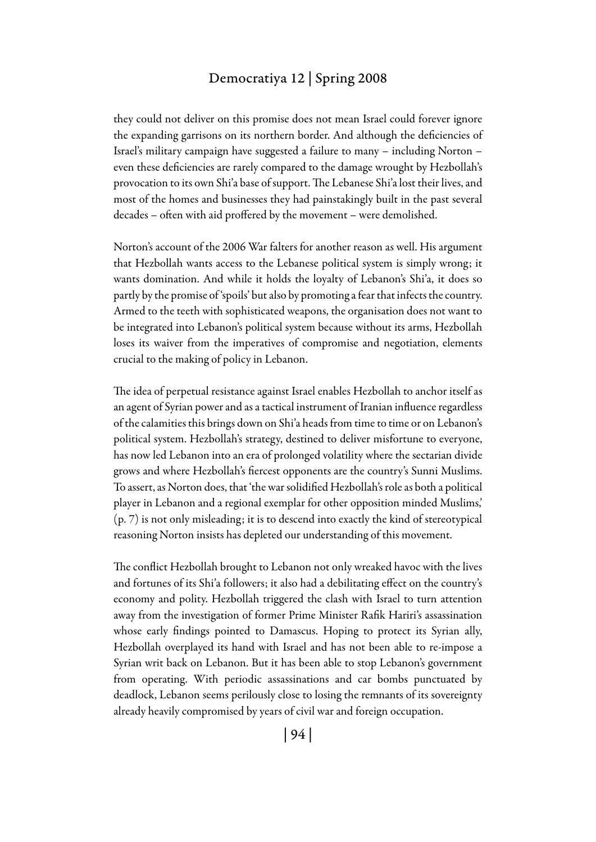#### Democratiya 12 | Spring 2008

they could not deliver on this promise does not mean Israel could forever ignore the expanding garrisons on its northern border. And although the deficiencies of Israel's military campaign have suggested a failure to many – including Norton – even these deficiencies are rarely compared to the damage wrought by Hezbollah's provocation to its own Shi'a base of support. The Lebanese Shi'a lost their lives, and most of the homes and businesses they had painstakingly built in the past several decades – often with aid proffered by the movement – were demolished.

Norton's account of the 2006 War falters for another reason as well. His argument that Hezbollah wants access to the Lebanese political system is simply wrong; it wants domination. And while it holds the loyalty of Lebanon's Shi'a, it does so partly by the promise of 'spoils' but also by promoting a fear that infects the country. Armed to the teeth with sophisticated weapons, the organisation does not want to be integrated into Lebanon's political system because without its arms, Hezbollah loses its waiver from the imperatives of compromise and negotiation, elements crucial to the making of policy in Lebanon.

The idea of perpetual resistance against Israel enables Hezbollah to anchor itself as an agent of Syrian power and as a tactical instrument of Iranian influence regardless of the calamities this brings down on Shi'a heads from time to time or on Lebanon's political system. Hezbollah's strategy, destined to deliver misfortune to everyone, has now led Lebanon into an era of prolonged volatility where the sectarian divide grows and where Hezbollah's fiercest opponents are the country's Sunni Muslims. To assert, as Norton does, that 'the war solidified Hezbollah's role as both a political player in Lebanon and a regional exemplar for other opposition minded Muslims,' (p. 7) is not only misleading; it is to descend into exactly the kind of stereotypical reasoning Norton insists has depleted our understanding of this movement.

The conflict Hezbollah brought to Lebanon not only wreaked havoc with the lives and fortunes of its Shi'a followers; it also had a debilitating effect on the country's economy and polity. Hezbollah triggered the clash with Israel to turn attention away from the investigation of former Prime Minister Rafik Hariri's assassination whose early findings pointed to Damascus. Hoping to protect its Syrian ally, Hezbollah overplayed its hand with Israel and has not been able to re-impose a Syrian writ back on Lebanon. But it has been able to stop Lebanon's government from operating. With periodic assassinations and car bombs punctuated by deadlock, Lebanon seems perilously close to losing the remnants of its sovereignty already heavily compromised by years of civil war and foreign occupation.

| 94 |